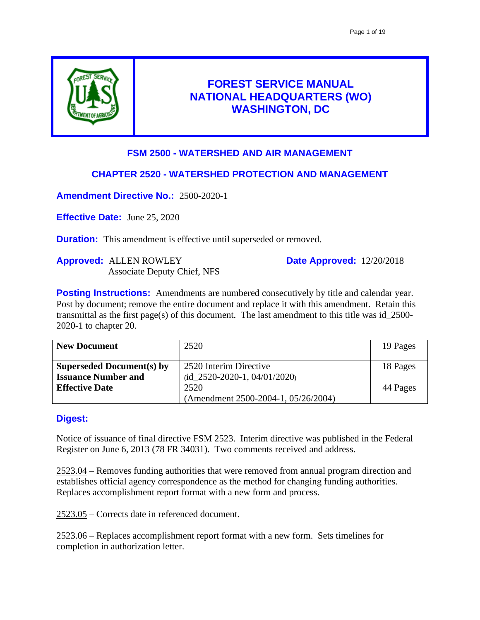

# **FOREST SERVICE MANUAL NATIONAL HEADQUARTERS (WO) WASHINGTON, DC**

# **FSM 2500 - WATERSHED AND AIR MANAGEMENT**

# **CHAPTER 2520 - WATERSHED PROTECTION AND MANAGEMENT**

**Amendment Directive No.:** 2500-2020-1

**Effective Date:** June 25, 2020

**Duration:** This amendment is effective until superseded or removed.

**Approved:** ALLEN ROWLEY Associate Deputy Chief, NFS **Date Approved:** 12/20/2018

**Posting Instructions:** Amendments are numbered consecutively by title and calendar year. Post by document; remove the entire document and replace it with this amendment. Retain this transmittal as the first page(s) of this document. The last amendment to this title was id\_2500- 2020-1 to chapter 20.

| <b>New Document</b>        | 2520                                | 19 Pages |
|----------------------------|-------------------------------------|----------|
| Superseded Document(s) by  | 2520 Interim Directive              | 18 Pages |
| <b>Issuance Number and</b> | $(id\_2520-2020-1, 04/01/2020)$     |          |
| <b>Effective Date</b>      | 2520                                | 44 Pages |
|                            | (Amendment 2500-2004-1, 05/26/2004) |          |

# **Digest:**

Notice of issuance of final directive FSM 2523. Interim directive was published in the Federal Register on June 6, 2013 (78 FR 34031). Two comments received and address.

2523.04 – Removes funding authorities that were removed from annual program direction and establishes official agency correspondence as the method for changing funding authorities. Replaces accomplishment report format with a new form and process.

2523.05 – Corrects date in referenced document.

2523.06 – Replaces accomplishment report format with a new form. Sets timelines for completion in authorization letter.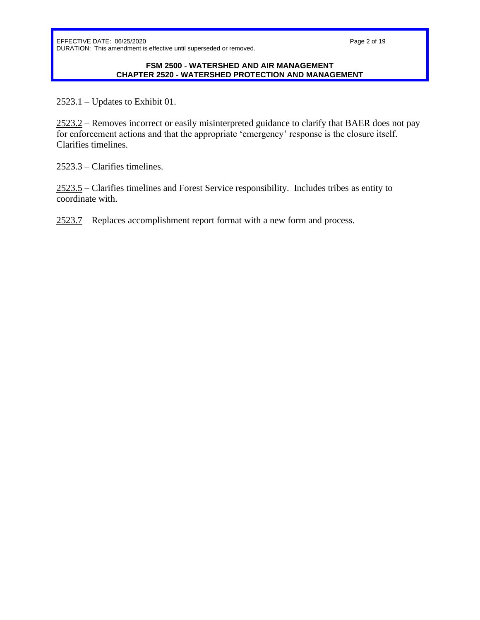Page 2 of 19

### **FSM 2500 - WATERSHED AND AIR MANAGEMENT CHAPTER 2520 - WATERSHED PROTECTION AND MANAGEMENT**

 $2523.1 -$  Updates to Exhibit 01.

2523.2 – Removes incorrect or easily misinterpreted guidance to clarify that BAER does not pay for enforcement actions and that the appropriate 'emergency' response is the closure itself. Clarifies timelines.

2523.3 – Clarifies timelines.

2523.5 – Clarifies timelines and Forest Service responsibility. Includes tribes as entity to coordinate with.

2523.7 – Replaces accomplishment report format with a new form and process.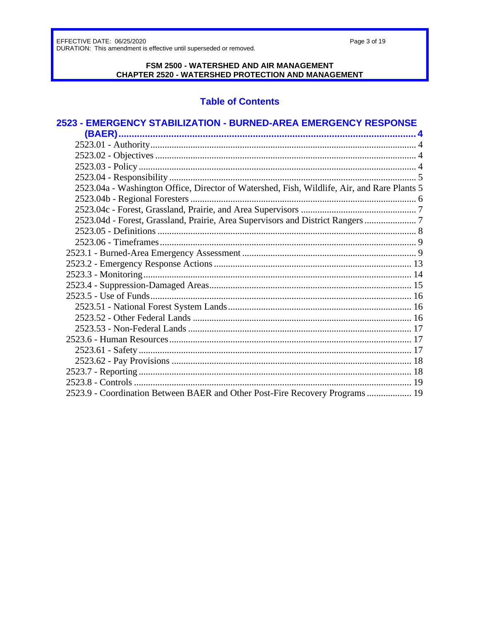Page 3 of 19

## FSM 2500 - WATERSHED AND AIR MANAGEMENT CHAPTER 2520 - WATERSHED PROTECTION AND MANAGEMENT

# **Table of Contents**

| 2523 - EMERGENCY STABILIZATION - BURNED-AREA EMERGENCY RESPONSE                             |  |
|---------------------------------------------------------------------------------------------|--|
|                                                                                             |  |
|                                                                                             |  |
|                                                                                             |  |
|                                                                                             |  |
|                                                                                             |  |
| 2523.04a - Washington Office, Director of Watershed, Fish, Wildlife, Air, and Rare Plants 5 |  |
|                                                                                             |  |
|                                                                                             |  |
| 2523.04d - Forest, Grassland, Prairie, Area Supervisors and District Rangers  7             |  |
|                                                                                             |  |
|                                                                                             |  |
|                                                                                             |  |
|                                                                                             |  |
|                                                                                             |  |
|                                                                                             |  |
|                                                                                             |  |
|                                                                                             |  |
|                                                                                             |  |
|                                                                                             |  |
|                                                                                             |  |
|                                                                                             |  |
|                                                                                             |  |
|                                                                                             |  |
|                                                                                             |  |
| 2523.9 - Coordination Between BAER and Other Post-Fire Recovery Programs  19                |  |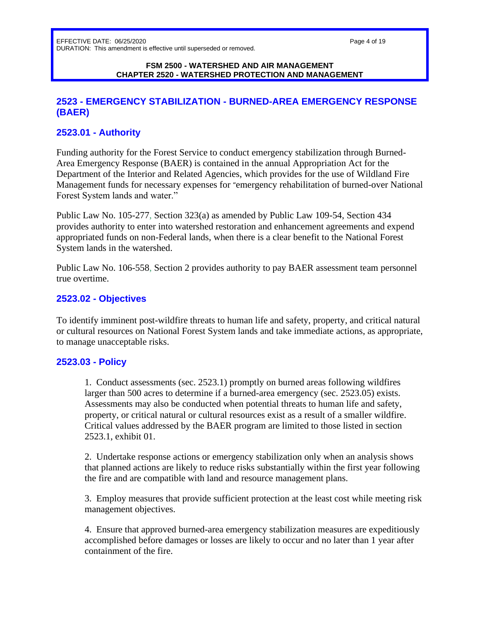Page 4 of 19

#### **FSM 2500 - WATERSHED AND AIR MANAGEMENT CHAPTER 2520 - WATERSHED PROTECTION AND MANAGEMENT**

# <span id="page-3-0"></span>**2523 - EMERGENCY STABILIZATION - BURNED-AREA EMERGENCY RESPONSE (BAER)**

# <span id="page-3-1"></span>**2523.01 - Authority**

Funding authority for the Forest Service to conduct emergency stabilization through Burned-Area Emergency Response (BAER) is contained in the annual Appropriation Act for the Department of the Interior and Related Agencies, which provides for the use of Wildland Fire Management funds for necessary expenses for "emergency rehabilitation of burned-over National Forest System lands and water."

Public Law No. 105-277, Section 323(a) as amended by Public Law 109-54, Section 434 provides authority to enter into watershed restoration and enhancement agreements and expend appropriated funds on non-Federal lands, when there is a clear benefit to the National Forest System lands in the watershed.

Public Law No. 106-558, Section 2 provides authority to pay BAER assessment team personnel true overtime.

# <span id="page-3-2"></span>**2523.02 - Objectives**

To identify imminent post-wildfire threats to human life and safety, property, and critical natural or cultural resources on National Forest System lands and take immediate actions, as appropriate, to manage unacceptable risks.

# <span id="page-3-3"></span>**2523.03 - Policy**

1. Conduct assessments (sec. 2523.1) promptly on burned areas following wildfires larger than 500 acres to determine if a burned-area emergency (sec. 2523.05) exists. Assessments may also be conducted when potential threats to human life and safety, property, or critical natural or cultural resources exist as a result of a smaller wildfire. Critical values addressed by the BAER program are limited to those listed in section 2523.1, exhibit 01.

2. Undertake response actions or emergency stabilization only when an analysis shows that planned actions are likely to reduce risks substantially within the first year following the fire and are compatible with land and resource management plans.

3. Employ measures that provide sufficient protection at the least cost while meeting risk management objectives.

4. Ensure that approved burned-area emergency stabilization measures are expeditiously accomplished before damages or losses are likely to occur and no later than 1 year after containment of the fire.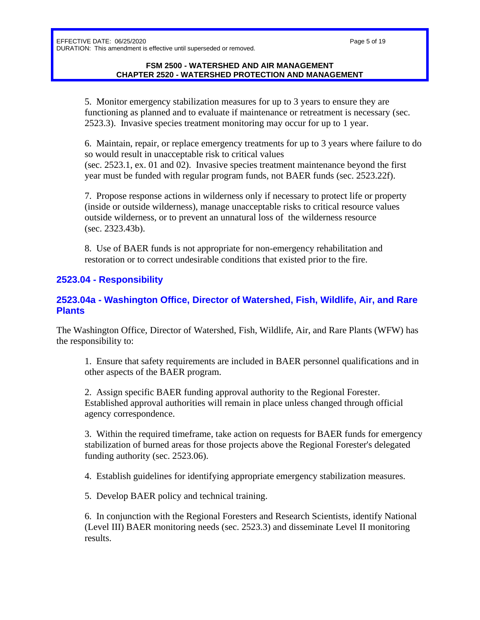Page 5 of 19

### **FSM 2500 - WATERSHED AND AIR MANAGEMENT CHAPTER 2520 - WATERSHED PROTECTION AND MANAGEMENT**

5. Monitor emergency stabilization measures for up to 3 years to ensure they are functioning as planned and to evaluate if maintenance or retreatment is necessary (sec. 2523.3). Invasive species treatment monitoring may occur for up to 1 year.

6. Maintain, repair, or replace emergency treatments for up to 3 years where failure to do so would result in unacceptable risk to critical values (sec. 2523.1, ex. 01 and 02). Invasive species treatment maintenance beyond the first year must be funded with regular program funds, not BAER funds (sec. 2523.22f).

7. Propose response actions in wilderness only if necessary to protect life or property (inside or outside wilderness), manage unacceptable risks to critical resource values outside wilderness, or to prevent an unnatural loss of the wilderness resource (sec. 2323.43b).

8. Use of BAER funds is not appropriate for non-emergency rehabilitation and restoration or to correct undesirable conditions that existed prior to the fire.

# <span id="page-4-0"></span>**2523.04 - Responsibility**

# <span id="page-4-1"></span>**2523.04a - Washington Office, Director of Watershed, Fish, Wildlife, Air, and Rare Plants**

The Washington Office, Director of Watershed, Fish, Wildlife, Air, and Rare Plants (WFW) has the responsibility to:

1. Ensure that safety requirements are included in BAER personnel qualifications and in other aspects of the BAER program.

2. Assign specific BAER funding approval authority to the Regional Forester. Established approval authorities will remain in place unless changed through official agency correspondence.

3. Within the required timeframe, take action on requests for BAER funds for emergency stabilization of burned areas for those projects above the Regional Forester's delegated funding authority (sec. 2523.06).

4. Establish guidelines for identifying appropriate emergency stabilization measures.

5. Develop BAER policy and technical training.

6. In conjunction with the Regional Foresters and Research Scientists, identify National (Level III) BAER monitoring needs (sec. 2523.3) and disseminate Level II monitoring results.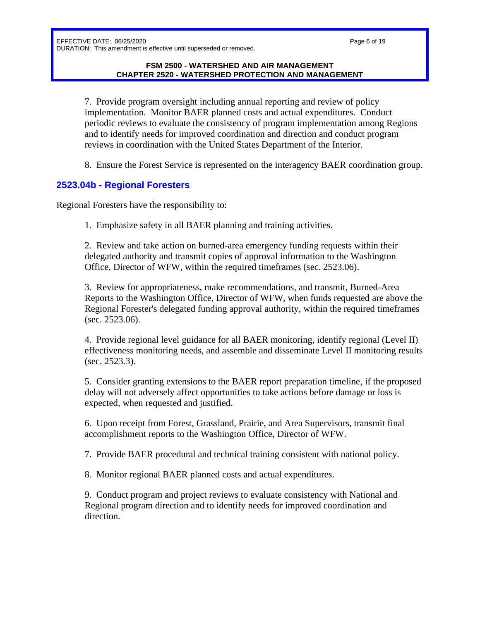#### **FSM 2500 - WATERSHED AND AIR MANAGEMENT CHAPTER 2520 - WATERSHED PROTECTION AND MANAGEMENT**

7. Provide program oversight including annual reporting and review of policy implementation. Monitor BAER planned costs and actual expenditures. Conduct periodic reviews to evaluate the consistency of program implementation among Regions and to identify needs for improved coordination and direction and conduct program reviews in coordination with the United States Department of the Interior.

8. Ensure the Forest Service is represented on the interagency BAER coordination group.

## <span id="page-5-0"></span>**2523.04b - Regional Foresters**

Regional Foresters have the responsibility to:

1. Emphasize safety in all BAER planning and training activities.

2. Review and take action on burned-area emergency funding requests within their delegated authority and transmit copies of approval information to the Washington Office, Director of WFW, within the required timeframes (sec. 2523.06).

3. Review for appropriateness, make recommendations, and transmit, Burned-Area Reports to the Washington Office, Director of WFW, when funds requested are above the Regional Forester's delegated funding approval authority, within the required timeframes (sec. 2523.06).

4. Provide regional level guidance for all BAER monitoring, identify regional (Level II) effectiveness monitoring needs, and assemble and disseminate Level II monitoring results (sec. 2523.3).

5. Consider granting extensions to the BAER report preparation timeline, if the proposed delay will not adversely affect opportunities to take actions before damage or loss is expected, when requested and justified.

6. Upon receipt from Forest, Grassland, Prairie, and Area Supervisors, transmit final accomplishment reports to the Washington Office, Director of WFW.

7. Provide BAER procedural and technical training consistent with national policy.

8. Monitor regional BAER planned costs and actual expenditures.

9. Conduct program and project reviews to evaluate consistency with National and Regional program direction and to identify needs for improved coordination and direction.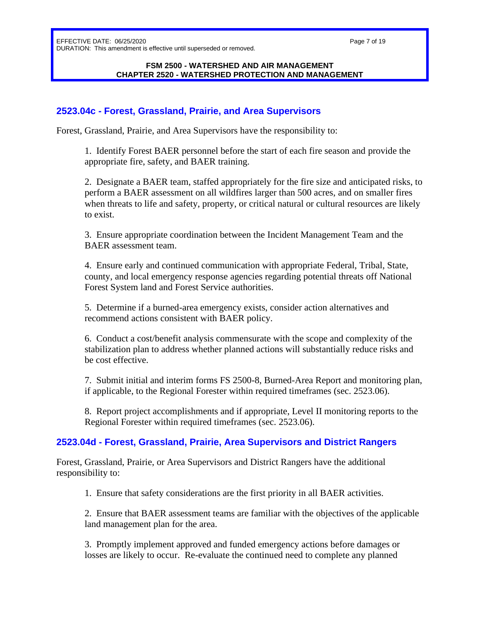Page 7 of 19

### **FSM 2500 - WATERSHED AND AIR MANAGEMENT CHAPTER 2520 - WATERSHED PROTECTION AND MANAGEMENT**

# <span id="page-6-0"></span>**2523.04c - Forest, Grassland, Prairie, and Area Supervisors**

Forest, Grassland, Prairie, and Area Supervisors have the responsibility to:

1. Identify Forest BAER personnel before the start of each fire season and provide the appropriate fire, safety, and BAER training.

2. Designate a BAER team, staffed appropriately for the fire size and anticipated risks, to perform a BAER assessment on all wildfires larger than 500 acres, and on smaller fires when threats to life and safety, property, or critical natural or cultural resources are likely to exist.

3. Ensure appropriate coordination between the Incident Management Team and the BAER assessment team.

4. Ensure early and continued communication with appropriate Federal, Tribal, State, county, and local emergency response agencies regarding potential threats off National Forest System land and Forest Service authorities.

5. Determine if a burned-area emergency exists, consider action alternatives and recommend actions consistent with BAER policy.

6. Conduct a cost/benefit analysis commensurate with the scope and complexity of the stabilization plan to address whether planned actions will substantially reduce risks and be cost effective.

7. Submit initial and interim forms FS 2500-8, Burned-Area Report and monitoring plan, if applicable, to the Regional Forester within required timeframes (sec. 2523.06).

8. Report project accomplishments and if appropriate, Level II monitoring reports to the Regional Forester within required timeframes (sec. 2523.06).

# <span id="page-6-1"></span>**2523.04d - Forest, Grassland, Prairie, Area Supervisors and District Rangers**

Forest, Grassland, Prairie, or Area Supervisors and District Rangers have the additional responsibility to:

1. Ensure that safety considerations are the first priority in all BAER activities.

2. Ensure that BAER assessment teams are familiar with the objectives of the applicable land management plan for the area.

3. Promptly implement approved and funded emergency actions before damages or losses are likely to occur. Re-evaluate the continued need to complete any planned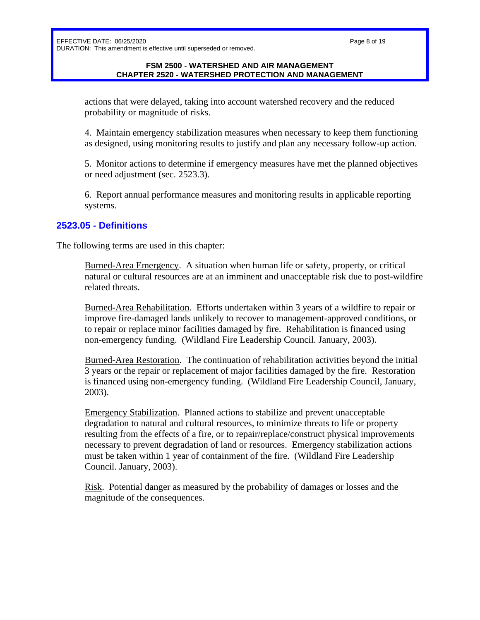#### **FSM 2500 - WATERSHED AND AIR MANAGEMENT CHAPTER 2520 - WATERSHED PROTECTION AND MANAGEMENT**

actions that were delayed, taking into account watershed recovery and the reduced probability or magnitude of risks.

4. Maintain emergency stabilization measures when necessary to keep them functioning as designed, using monitoring results to justify and plan any necessary follow-up action.

5. Monitor actions to determine if emergency measures have met the planned objectives or need adjustment (sec. 2523.3).

6. Report annual performance measures and monitoring results in applicable reporting systems.

## <span id="page-7-0"></span>**2523.05 - Definitions**

The following terms are used in this chapter:

Burned-Area Emergency. A situation when human life or safety, property, or critical natural or cultural resources are at an imminent and unacceptable risk due to post-wildfire related threats.

Burned-Area Rehabilitation. Efforts undertaken within 3 years of a wildfire to repair or improve fire-damaged lands unlikely to recover to management-approved conditions, or to repair or replace minor facilities damaged by fire. Rehabilitation is financed using non-emergency funding. (Wildland Fire Leadership Council. January, 2003).

Burned-Area Restoration. The continuation of rehabilitation activities beyond the initial 3 years or the repair or replacement of major facilities damaged by the fire. Restoration is financed using non-emergency funding. (Wildland Fire Leadership Council, January, 2003).

Emergency Stabilization. Planned actions to stabilize and prevent unacceptable degradation to natural and cultural resources, to minimize threats to life or property resulting from the effects of a fire, or to repair/replace/construct physical improvements necessary to prevent degradation of land or resources. Emergency stabilization actions must be taken within 1 year of containment of the fire. (Wildland Fire Leadership Council. January, 2003).

Risk. Potential danger as measured by the probability of damages or losses and the magnitude of the consequences.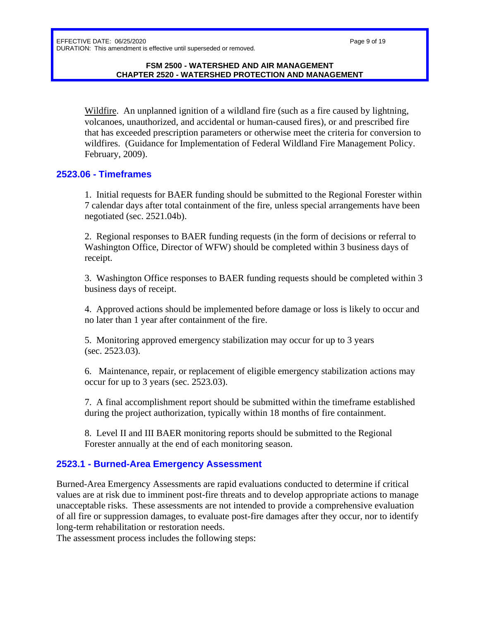#### **FSM 2500 - WATERSHED AND AIR MANAGEMENT CHAPTER 2520 - WATERSHED PROTECTION AND MANAGEMENT**

Wildfire. An unplanned ignition of a wildland fire (such as a fire caused by lightning, volcanoes, unauthorized, and accidental or human-caused fires), or and prescribed fire that has exceeded prescription parameters or otherwise meet the criteria for conversion to wildfires. (Guidance for Implementation of Federal Wildland Fire Management Policy. February, 2009).

## <span id="page-8-0"></span>**2523.06 - Timeframes**

1. Initial requests for BAER funding should be submitted to the Regional Forester within 7 calendar days after total containment of the fire, unless special arrangements have been negotiated (sec. 2521.04b).

2. Regional responses to BAER funding requests (in the form of decisions or referral to Washington Office, Director of WFW) should be completed within 3 business days of receipt.

3. Washington Office responses to BAER funding requests should be completed within 3 business days of receipt.

4. Approved actions should be implemented before damage or loss is likely to occur and no later than 1 year after containment of the fire.

5. Monitoring approved emergency stabilization may occur for up to 3 years (sec. 2523.03).

6. Maintenance, repair, or replacement of eligible emergency stabilization actions may occur for up to 3 years (sec. 2523.03).

7. A final accomplishment report should be submitted within the timeframe established during the project authorization, typically within 18 months of fire containment.

8. Level II and III BAER monitoring reports should be submitted to the Regional Forester annually at the end of each monitoring season.

## <span id="page-8-1"></span>**2523.1 - Burned-Area Emergency Assessment**

Burned-Area Emergency Assessments are rapid evaluations conducted to determine if critical values are at risk due to imminent post-fire threats and to develop appropriate actions to manage unacceptable risks. These assessments are not intended to provide a comprehensive evaluation of all fire or suppression damages, to evaluate post-fire damages after they occur, nor to identify long-term rehabilitation or restoration needs.

The assessment process includes the following steps: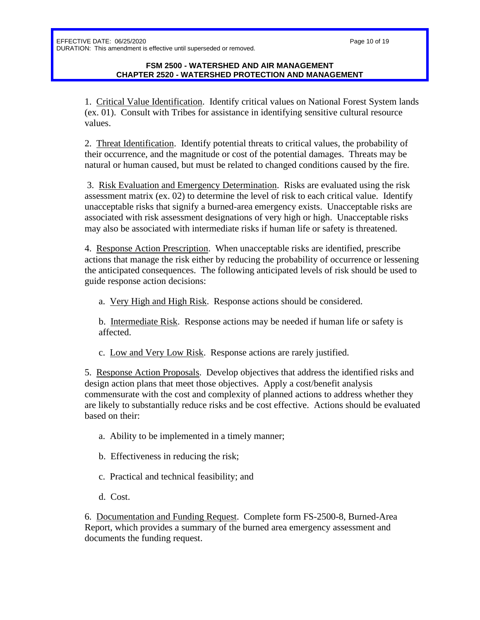### **FSM 2500 - WATERSHED AND AIR MANAGEMENT CHAPTER 2520 - WATERSHED PROTECTION AND MANAGEMENT**

1. Critical Value Identification. Identify critical values on National Forest System lands (ex. 01). Consult with Tribes for assistance in identifying sensitive cultural resource values.

2. Threat Identification. Identify potential threats to critical values, the probability of their occurrence, and the magnitude or cost of the potential damages. Threats may be natural or human caused, but must be related to changed conditions caused by the fire.

3. Risk Evaluation and Emergency Determination. Risks are evaluated using the risk assessment matrix (ex. 02) to determine the level of risk to each critical value. Identify unacceptable risks that signify a burned-area emergency exists. Unacceptable risks are associated with risk assessment designations of very high or high. Unacceptable risks may also be associated with intermediate risks if human life or safety is threatened.

4. Response Action Prescription. When unacceptable risks are identified, prescribe actions that manage the risk either by reducing the probability of occurrence or lessening the anticipated consequences. The following anticipated levels of risk should be used to guide response action decisions:

a. Very High and High Risk. Response actions should be considered.

b. Intermediate Risk. Response actions may be needed if human life or safety is affected.

c. Low and Very Low Risk. Response actions are rarely justified.

5. Response Action Proposals. Develop objectives that address the identified risks and design action plans that meet those objectives. Apply a cost/benefit analysis commensurate with the cost and complexity of planned actions to address whether they are likely to substantially reduce risks and be cost effective. Actions should be evaluated based on their:

- a. Ability to be implemented in a timely manner;
- b. Effectiveness in reducing the risk;
- c. Practical and technical feasibility; and
- d. Cost.

6. Documentation and Funding Request. Complete form FS-2500-8, Burned-Area Report, which provides a summary of the burned area emergency assessment and documents the funding request.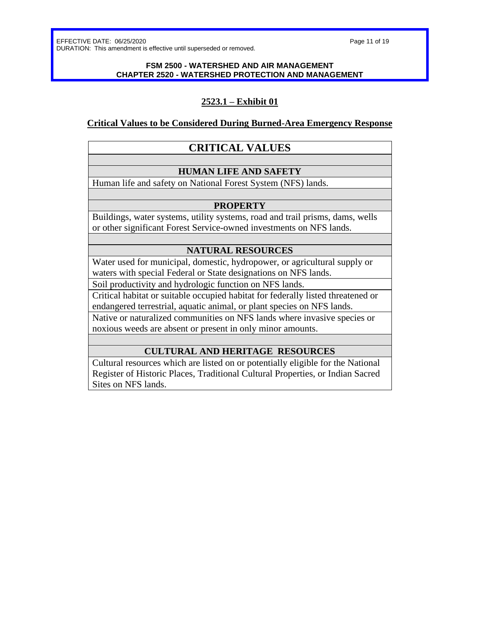Page 11 of 19

### **FSM 2500 - WATERSHED AND AIR MANAGEMENT CHAPTER 2520 - WATERSHED PROTECTION AND MANAGEMENT**

# **2523.1 – Exhibit 01**

## **Critical Values to be Considered During Burned-Area Emergency Response**

# **CRITICAL VALUES**

## **HUMAN LIFE AND SAFETY**

Human life and safety on National Forest System (NFS) lands.

## **PROPERTY**

Buildings, water systems, utility systems, road and trail prisms, dams, wells or other significant Forest Service-owned investments on NFS lands.

## **NATURAL RESOURCES**

Water used for municipal, domestic, hydropower, or agricultural supply or waters with special Federal or State designations on NFS lands.

Soil productivity and hydrologic function on NFS lands.

Critical habitat or suitable occupied habitat for federally listed threatened or endangered terrestrial, aquatic animal, or plant species on NFS lands.

Native or naturalized communities on NFS lands where invasive species or noxious weeds are absent or present in only minor amounts.

# **CULTURAL AND HERITAGE RESOURCES**

Cultural resources which are listed on or potentially eligible for the National Register of Historic Places, Traditional Cultural Properties, or Indian Sacred Sites on NFS lands.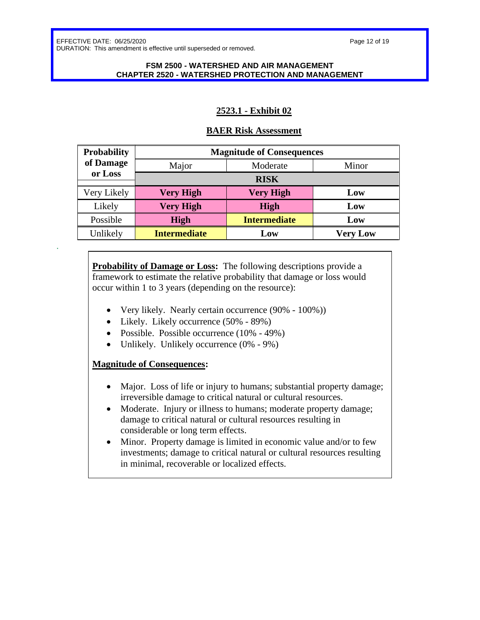Page 12 of 19

### **FSM 2500 - WATERSHED AND AIR MANAGEMENT CHAPTER 2520 - WATERSHED PROTECTION AND MANAGEMENT**

# **2523.1 - Exhibit 02**

## **BAER Risk Assessment**

| <b>Probability</b> | <b>Magnitude of Consequences</b> |                     |                 |  |  |
|--------------------|----------------------------------|---------------------|-----------------|--|--|
| of Damage          | Major                            | Moderate            | Minor           |  |  |
| or Loss            | <b>RISK</b>                      |                     |                 |  |  |
| Very Likely        | <b>Very High</b>                 | <b>Very High</b>    | Low             |  |  |
| Likely             | <b>Very High</b>                 | <b>High</b>         | Low             |  |  |
| Possible           | <b>High</b>                      | <b>Intermediate</b> | Low             |  |  |
| Unlikely           | <b>Intermediate</b>              | Low                 | <b>Very Low</b> |  |  |

**Probability of Damage or Loss:** The following descriptions provide a framework to estimate the relative probability that damage or loss would occur within 1 to 3 years (depending on the resource):

- Very likely. Nearly certain occurrence  $(90\% 100\%)$
- Likely. Likely occurrence (50% 89%)
- Possible. Possible occurrence (10% 49%)
- Unlikely. Unlikely occurrence  $(0\% 9\%)$

## **Magnitude of Consequences:**

.

- Major. Loss of life or injury to humans; substantial property damage; irreversible damage to critical natural or cultural resources.
- Moderate. Injury or illness to humans; moderate property damage; damage to critical natural or cultural resources resulting in considerable or long term effects.
- Minor. Property damage is limited in economic value and/or to few investments; damage to critical natural or cultural resources resulting in minimal, recoverable or localized effects.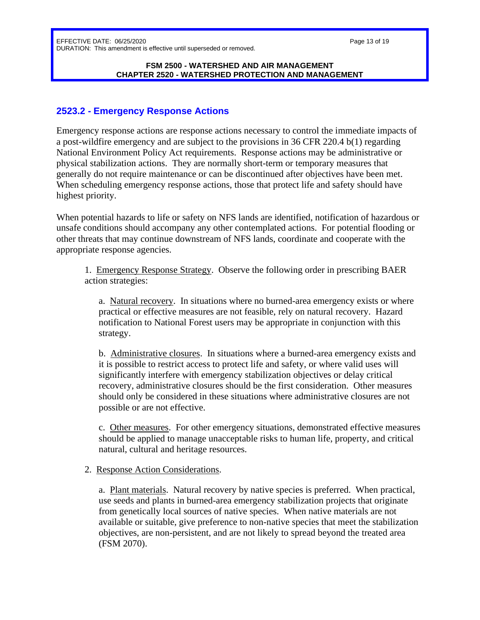Page 13 of 19

### **FSM 2500 - WATERSHED AND AIR MANAGEMENT CHAPTER 2520 - WATERSHED PROTECTION AND MANAGEMENT**

# <span id="page-12-0"></span>**2523.2 - Emergency Response Actions**

Emergency response actions are response actions necessary to control the immediate impacts of a post-wildfire emergency and are subject to the provisions in 36 CFR 220.4 b(1) regarding National Environment Policy Act requirements. Response actions may be administrative or physical stabilization actions. They are normally short-term or temporary measures that generally do not require maintenance or can be discontinued after objectives have been met. When scheduling emergency response actions, those that protect life and safety should have highest priority.

When potential hazards to life or safety on NFS lands are identified, notification of hazardous or unsafe conditions should accompany any other contemplated actions. For potential flooding or other threats that may continue downstream of NFS lands, coordinate and cooperate with the appropriate response agencies.

1. Emergency Response Strategy. Observe the following order in prescribing BAER action strategies:

a. Natural recovery. In situations where no burned-area emergency exists or where practical or effective measures are not feasible, rely on natural recovery. Hazard notification to National Forest users may be appropriate in conjunction with this strategy.

b. Administrative closures. In situations where a burned-area emergency exists and it is possible to restrict access to protect life and safety, or where valid uses will significantly interfere with emergency stabilization objectives or delay critical recovery, administrative closures should be the first consideration. Other measures should only be considered in these situations where administrative closures are not possible or are not effective.

c. Other measures. For other emergency situations, demonstrated effective measures should be applied to manage unacceptable risks to human life, property, and critical natural, cultural and heritage resources.

### 2. Response Action Considerations.

a. Plant materials. Natural recovery by native species is preferred. When practical, use seeds and plants in burned-area emergency stabilization projects that originate from genetically local sources of native species. When native materials are not available or suitable, give preference to non-native species that meet the stabilization objectives, are non-persistent, and are not likely to spread beyond the treated area (FSM 2070).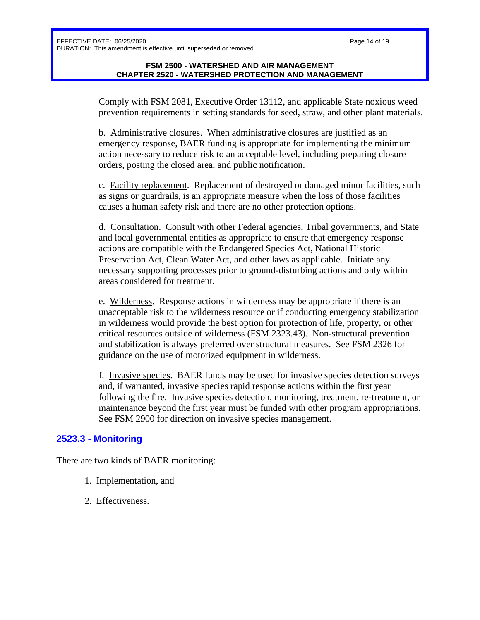Page 14 of 19

### **FSM 2500 - WATERSHED AND AIR MANAGEMENT CHAPTER 2520 - WATERSHED PROTECTION AND MANAGEMENT**

Comply with FSM 2081, Executive Order 13112, and applicable State noxious weed prevention requirements in setting standards for seed, straw, and other plant materials.

b. Administrative closures. When administrative closures are justified as an emergency response, BAER funding is appropriate for implementing the minimum action necessary to reduce risk to an acceptable level, including preparing closure orders, posting the closed area, and public notification.

c. Facility replacement. Replacement of destroyed or damaged minor facilities, such as signs or guardrails, is an appropriate measure when the loss of those facilities causes a human safety risk and there are no other protection options.

d. Consultation. Consult with other Federal agencies, Tribal governments, and State and local governmental entities as appropriate to ensure that emergency response actions are compatible with the Endangered Species Act, National Historic Preservation Act, Clean Water Act, and other laws as applicable. Initiate any necessary supporting processes prior to ground-disturbing actions and only within areas considered for treatment.

e. Wilderness. Response actions in wilderness may be appropriate if there is an unacceptable risk to the wilderness resource or if conducting emergency stabilization in wilderness would provide the best option for protection of life, property, or other critical resources outside of wilderness (FSM 2323.43). Non-structural prevention and stabilization is always preferred over structural measures. See FSM 2326 for guidance on the use of motorized equipment in wilderness.

f. Invasive species. BAER funds may be used for invasive species detection surveys and, if warranted, invasive species rapid response actions within the first year following the fire. Invasive species detection, monitoring, treatment, re-treatment, or maintenance beyond the first year must be funded with other program appropriations. See FSM 2900 for direction on invasive species management.

# <span id="page-13-0"></span>**2523.3 - Monitoring**

There are two kinds of BAER monitoring:

- 1. Implementation, and
- 2. Effectiveness.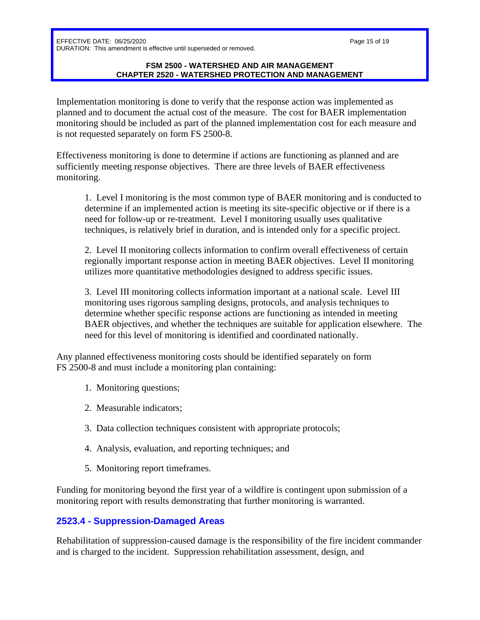#### **FSM 2500 - WATERSHED AND AIR MANAGEMENT CHAPTER 2520 - WATERSHED PROTECTION AND MANAGEMENT**

Implementation monitoring is done to verify that the response action was implemented as planned and to document the actual cost of the measure. The cost for BAER implementation monitoring should be included as part of the planned implementation cost for each measure and is not requested separately on form FS 2500-8.

Effectiveness monitoring is done to determine if actions are functioning as planned and are sufficiently meeting response objectives. There are three levels of BAER effectiveness monitoring.

1. Level I monitoring is the most common type of BAER monitoring and is conducted to determine if an implemented action is meeting its site-specific objective or if there is a need for follow-up or re-treatment. Level I monitoring usually uses qualitative techniques, is relatively brief in duration, and is intended only for a specific project.

2. Level II monitoring collects information to confirm overall effectiveness of certain regionally important response action in meeting BAER objectives. Level II monitoring utilizes more quantitative methodologies designed to address specific issues.

3. Level III monitoring collects information important at a national scale. Level III monitoring uses rigorous sampling designs, protocols, and analysis techniques to determine whether specific response actions are functioning as intended in meeting BAER objectives, and whether the techniques are suitable for application elsewhere. The need for this level of monitoring is identified and coordinated nationally.

Any planned effectiveness monitoring costs should be identified separately on form FS 2500-8 and must include a monitoring plan containing:

- 1. Monitoring questions;
- 2. Measurable indicators;
- 3. Data collection techniques consistent with appropriate protocols;
- 4. Analysis, evaluation, and reporting techniques; and
- <span id="page-14-0"></span>5. Monitoring report timeframes.

Funding for monitoring beyond the first year of a wildfire is contingent upon submission of a monitoring report with results demonstrating that further monitoring is warranted.

# **2523.4 - Suppression-Damaged Areas**

Rehabilitation of suppression-caused damage is the responsibility of the fire incident commander and is charged to the incident. Suppression rehabilitation assessment, design, and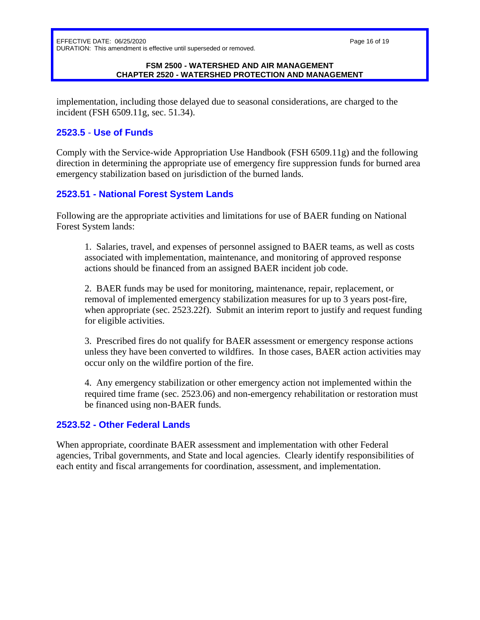### **FSM 2500 - WATERSHED AND AIR MANAGEMENT CHAPTER 2520 - WATERSHED PROTECTION AND MANAGEMENT**

implementation, including those delayed due to seasonal considerations, are charged to the incident (FSH 6509.11g, sec. 51.34).

## <span id="page-15-0"></span>**2523.5** - **Use of Funds**

Comply with the Service-wide Appropriation Use Handbook (FSH 6509.11g) and the following direction in determining the appropriate use of emergency fire suppression funds for burned area emergency stabilization based on jurisdiction of the burned lands.

## <span id="page-15-1"></span>**2523.51 - National Forest System Lands**

Following are the appropriate activities and limitations for use of BAER funding on National Forest System lands:

1. Salaries, travel, and expenses of personnel assigned to BAER teams, as well as costs associated with implementation, maintenance, and monitoring of approved response actions should be financed from an assigned BAER incident job code.

2. BAER funds may be used for monitoring, maintenance, repair, replacement, or removal of implemented emergency stabilization measures for up to 3 years post-fire, when appropriate (sec. 2523.22f). Submit an interim report to justify and request funding for eligible activities.

3. Prescribed fires do not qualify for BAER assessment or emergency response actions unless they have been converted to wildfires. In those cases, BAER action activities may occur only on the wildfire portion of the fire.

4. Any emergency stabilization or other emergency action not implemented within the required time frame (sec. 2523.06) and non-emergency rehabilitation or restoration must be financed using non-BAER funds.

## <span id="page-15-2"></span>**2523.52 - Other Federal Lands**

When appropriate, coordinate BAER assessment and implementation with other Federal agencies, Tribal governments, and State and local agencies. Clearly identify responsibilities of each entity and fiscal arrangements for coordination, assessment, and implementation.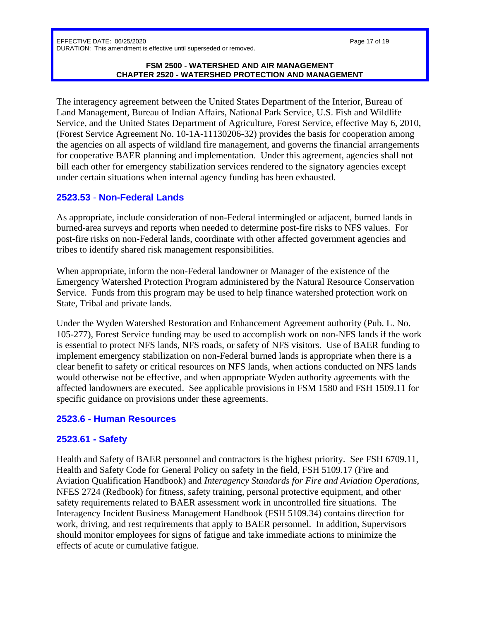### **FSM 2500 - WATERSHED AND AIR MANAGEMENT CHAPTER 2520 - WATERSHED PROTECTION AND MANAGEMENT**

The interagency agreement between the United States Department of the Interior, Bureau of Land Management, Bureau of Indian Affairs, National Park Service, U.S. Fish and Wildlife Service, and the United States Department of Agriculture, Forest Service, effective May 6, 2010, (Forest Service Agreement No. 10-1A-11130206-32) provides the basis for cooperation among the agencies on all aspects of wildland fire management, and governs the financial arrangements for cooperative BAER planning and implementation. Under this agreement, agencies shall not bill each other for emergency stabilization services rendered to the signatory agencies except under certain situations when internal agency funding has been exhausted.

## <span id="page-16-0"></span>**2523.53** - **Non-Federal Lands**

As appropriate, include consideration of non-Federal intermingled or adjacent, burned lands in burned-area surveys and reports when needed to determine post-fire risks to NFS values. For post-fire risks on non-Federal lands, coordinate with other affected government agencies and tribes to identify shared risk management responsibilities.

When appropriate, inform the non-Federal landowner or Manager of the existence of the Emergency Watershed Protection Program administered by the Natural Resource Conservation Service. Funds from this program may be used to help finance watershed protection work on State, Tribal and private lands.

Under the Wyden Watershed Restoration and Enhancement Agreement authority (Pub. L. No. 105-277), Forest Service funding may be used to accomplish work on non-NFS lands if the work is essential to protect NFS lands, NFS roads, or safety of NFS visitors. Use of BAER funding to implement emergency stabilization on non-Federal burned lands is appropriate when there is a clear benefit to safety or critical resources on NFS lands, when actions conducted on NFS lands would otherwise not be effective, and when appropriate Wyden authority agreements with the affected landowners are executed. See applicable provisions in FSM 1580 and FSH 1509.11 for specific guidance on provisions under these agreements.

## <span id="page-16-1"></span>**2523.6 - Human Resources**

# <span id="page-16-2"></span>**2523.61 - Safety**

Health and Safety of BAER personnel and contractors is the highest priority. See FSH 6709.11, Health and Safety Code for General Policy on safety in the field, FSH 5109.17 (Fire and Aviation Qualification Handbook) and *Interagency Standards for Fire and Aviation Operations*, NFES 2724 (Redbook) for fitness, safety training, personal protective equipment, and other safety requirements related to BAER assessment work in uncontrolled fire situations. The Interagency Incident Business Management Handbook (FSH 5109.34) contains direction for work, driving, and rest requirements that apply to BAER personnel. In addition, Supervisors should monitor employees for signs of fatigue and take immediate actions to minimize the effects of acute or cumulative fatigue.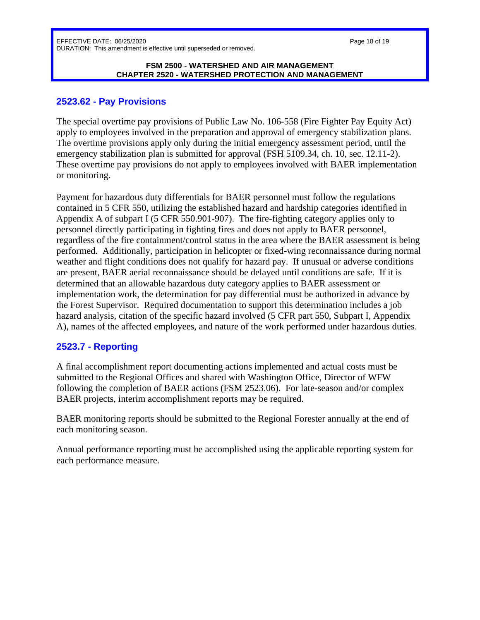Page 18 of 19

### **FSM 2500 - WATERSHED AND AIR MANAGEMENT CHAPTER 2520 - WATERSHED PROTECTION AND MANAGEMENT**

## <span id="page-17-0"></span>**2523.62 - Pay Provisions**

The special overtime pay provisions of Public Law No. 106-558 (Fire Fighter Pay Equity Act) apply to employees involved in the preparation and approval of emergency stabilization plans. The overtime provisions apply only during the initial emergency assessment period, until the emergency stabilization plan is submitted for approval (FSH 5109.34, ch. 10, sec. 12.11-2). These overtime pay provisions do not apply to employees involved with BAER implementation or monitoring.

Payment for hazardous duty differentials for BAER personnel must follow the regulations contained in 5 CFR 550, utilizing the established hazard and hardship categories identified in Appendix A of subpart I (5 CFR 550.901-907). The fire-fighting category applies only to personnel directly participating in fighting fires and does not apply to BAER personnel, regardless of the fire containment/control status in the area where the BAER assessment is being performed. Additionally, participation in helicopter or fixed-wing reconnaissance during normal weather and flight conditions does not qualify for hazard pay. If unusual or adverse conditions are present, BAER aerial reconnaissance should be delayed until conditions are safe. If it is determined that an allowable hazardous duty category applies to BAER assessment or implementation work, the determination for pay differential must be authorized in advance by the Forest Supervisor. Required documentation to support this determination includes a job hazard analysis, citation of the specific hazard involved (5 CFR part 550, Subpart I, Appendix A), names of the affected employees, and nature of the work performed under hazardous duties.

# <span id="page-17-1"></span>**2523.7 - Reporting**

A final accomplishment report documenting actions implemented and actual costs must be submitted to the Regional Offices and shared with Washington Office, Director of WFW following the completion of BAER actions (FSM 2523.06). For late-season and/or complex BAER projects, interim accomplishment reports may be required.

BAER monitoring reports should be submitted to the Regional Forester annually at the end of each monitoring season.

Annual performance reporting must be accomplished using the applicable reporting system for each performance measure.